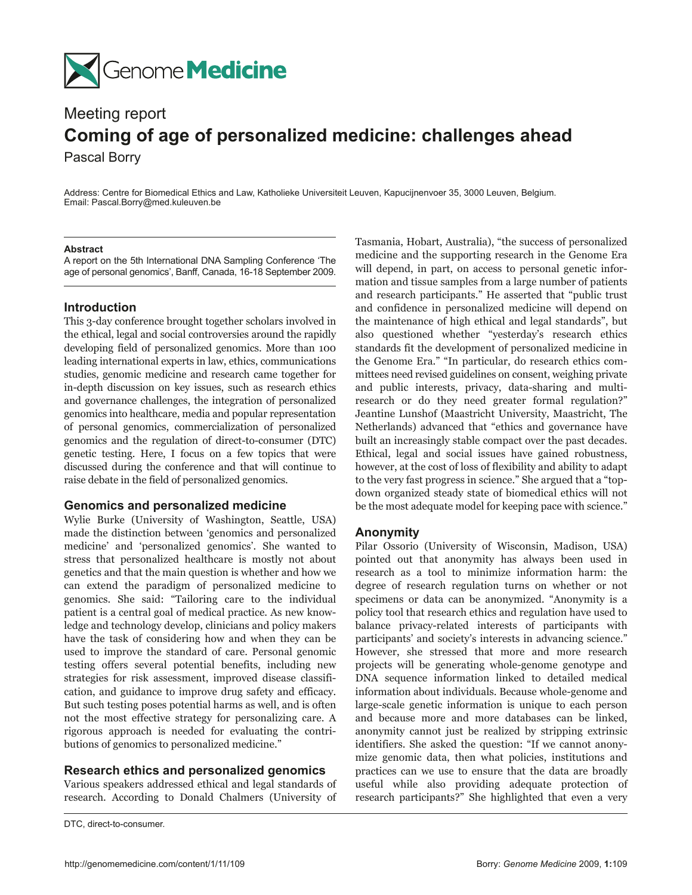

# Meeting report **Coming of age of personalized medicine: challenges ahead** Pascal Borry

Address: Centre for Biomedical Ethics and Law, Katholieke Universiteit Leuven, Kapucijnenvoer 35, 3000 Leuven, Belgium. Email: Pascal.Borry@med.kuleuven.be

### **Abstract**

A report on the 5th International DNA Sampling Conference 'The age of personal genomics', Banff, Canada, 16-18 September 2009.

#### **Introduction**

This 3-day conference brought together scholars involved in the ethical, legal and social controversies around the rapidly developing field of personalized genomics. More than 100 leading international experts in law, ethics, communications studies, genomic medicine and research came together for in-depth discussion on key issues, such as research ethics and governance challenges, the integration of personalized genomics into healthcare, media and popular representation of personal genomics, commercialization of personalized genomics and the regulation of direct-to-consumer (DTC) genetic testing. Here, I focus on a few topics that were discussed during the conference and that will continue to raise debate in the field of personalized genomics.

#### **Genomics and personalized medicine**

Wylie Burke (University of Washington, Seattle, USA) made the distinction between 'genomics and personalized medicine' and 'personalized genomics'. She wanted to stress that personalized healthcare is mostly not about genetics and that the main question is whether and how we can extend the paradigm of personalized medicine to genomics. She said: "Tailoring care to the individual patient is a central goal of medical practice. As new knowledge and technology develop, clinicians and policy makers have the task of considering how and when they can be used to improve the standard of care. Personal genomic testing offers several potential benefits, including new strategies for risk assessment, improved disease classification, and guidance to improve drug safety and efficacy. But such testing poses potential harms as well, and is often not the most effective strategy for personalizing care. A rigorous approach is needed for evaluating the contributions of genomics to personalized medicine."

#### **Research ethics and personalized genomics**

Various speakers addressed ethical and legal standards of research. According to Donald Chalmers (University of Tasmania, Hobart, Australia), "the success of personalized medicine and the supporting research in the Genome Era will depend, in part, on access to personal genetic information and tissue samples from a large number of patients and research participants." He asserted that "public trust and confidence in personalized medicine will depend on the maintenance of high ethical and legal standards", but also questioned whether "yesterday's research ethics standards fit the development of personalized medicine in the Genome Era." "In particular, do research ethics committees need revised guidelines on consent, weighing private and public interests, privacy, data-sharing and multiresearch or do they need greater formal regulation?" Jeantine Lunshof (Maastricht University, Maastricht, The Netherlands) advanced that "ethics and governance have built an increasingly stable compact over the past decades. Ethical, legal and social issues have gained robustness, however, at the cost of loss of flexibility and ability to adapt to the very fast progress in science." She argued that a "topdown organized steady state of biomedical ethics will not be the most adequate model for keeping pace with science."

#### **Anonymity**

Pilar Ossorio (University of Wisconsin, Madison, USA) pointed out that anonymity has always been used in research as a tool to minimize information harm: the degree of research regulation turns on whether or not specimens or data can be anonymized. "Anonymity is a policy tool that research ethics and regulation have used to balance privacy-related interests of participants with participants' and society's interests in advancing science." However, she stressed that more and more research projects will be generating whole-genome genotype and DNA sequence information linked to detailed medical information about individuals. Because whole-genome and large-scale genetic information is unique to each person and because more and more databases can be linked, anonymity cannot just be realized by stripping extrinsic identifiers. She asked the question: "If we cannot anonymize genomic data, then what policies, institutions and practices can we use to ensure that the data are broadly useful while also providing adequate protection of research participants?" She highlighted that even a very

DTC, direct-to-consumer.